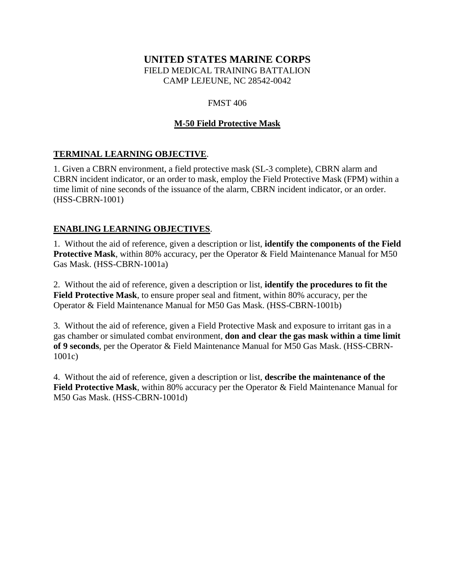#### **UNITED STATES MARINE CORPS** FIELD MEDICAL TRAINING BATTALION CAMP LEJEUNE, NC 28542-0042

FMST 406

# **M-50 Field Protective Mask**

## **TERMINAL LEARNING OBJECTIVE**.

1. Given a CBRN environment, a field protective mask (SL-3 complete), CBRN alarm and CBRN incident indicator, or an order to mask, employ the Field Protective Mask (FPM) within a time limit of nine seconds of the issuance of the alarm, CBRN incident indicator, or an order. (HSS-CBRN-1001)

#### **ENABLING LEARNING OBJECTIVES**.

1. Without the aid of reference, given a description or list, **identify the components of the Field Protective Mask**, within 80% accuracy, per the Operator & Field Maintenance Manual for M50 Gas Mask. (HSS-CBRN-1001a)

2. Without the aid of reference, given a description or list, **identify the procedures to fit the Field Protective Mask**, to ensure proper seal and fitment, within 80% accuracy, per the Operator & Field Maintenance Manual for M50 Gas Mask. (HSS-CBRN-1001b)

3. Without the aid of reference, given a Field Protective Mask and exposure to irritant gas in a gas chamber or simulated combat environment, **don and clear the gas mask within a time limit of 9 seconds**, per the Operator & Field Maintenance Manual for M50 Gas Mask. (HSS-CBRN-1001c)

4. Without the aid of reference, given a description or list, **describe the maintenance of the Field Protective Mask**, within 80% accuracy per the Operator & Field Maintenance Manual for M50 Gas Mask. (HSS-CBRN-1001d)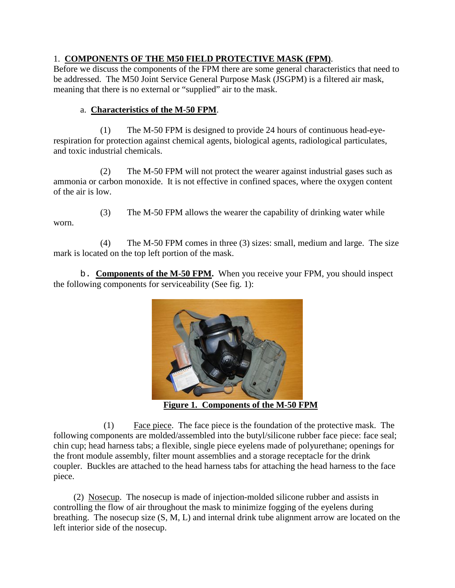## 1. **COMPONENTS OF THE M50 FIELD PROTECTIVE MASK (FPM)**.

Before we discuss the components of the FPM there are some general characteristics that need to be addressed. The M50 Joint Service General Purpose Mask (JSGPM) is a filtered air mask, meaning that there is no external or "supplied" air to the mask.

## a. **Characteristics of the M-50 FPM**.

(1) The M-50 FPM is designed to provide 24 hours of continuous head-eyerespiration for protection against chemical agents, biological agents, radiological particulates, and toxic industrial chemicals.

(2) The M-50 FPM will not protect the wearer against industrial gases such as ammonia or carbon monoxide. It is not effective in confined spaces, where the oxygen content of the air is low.

- worn.
- (3) The M-50 FPM allows the wearer the capability of drinking water while

(4) The M-50 FPM comes in three (3) sizes: small, medium and large. The size mark is located on the top left portion of the mask.

b. **Components of the M-50 FPM.** When you receive your FPM, you should inspect the following components for serviceability (See fig. 1):



**Figure 1. Components of the M-50 FPM**

(1) Face piece. The face piece is the foundation of the protective mask. The following components are molded/assembled into the butyl/silicone rubber face piece: face seal; chin cup; head harness tabs; a flexible, single piece eyelens made of polyurethane; openings for the front module assembly, filter mount assemblies and a storage receptacle for the drink coupler. Buckles are attached to the head harness tabs for attaching the head harness to the face piece.

 (2) Nosecup. The nosecup is made of injection-molded silicone rubber and assists in controlling the flow of air throughout the mask to minimize fogging of the eyelens during breathing. The nosecup size (S, M, L) and internal drink tube alignment arrow are located on the left interior side of the nosecup.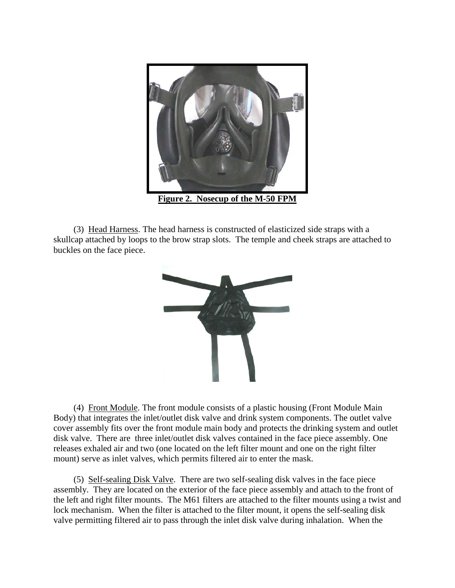

 (3) Head Harness. The head harness is constructed of elasticized side straps with a skullcap attached by loops to the brow strap slots. The temple and cheek straps are attached to buckles on the face piece.



 (4) Front Module. The front module consists of a plastic housing (Front Module Main Body) that integrates the inlet/outlet disk valve and drink system components. The outlet valve cover assembly fits over the front module main body and protects the drinking system and outlet disk valve. There are three inlet/outlet disk valves contained in the face piece assembly. One releases exhaled air and two (one located on the left filter mount and one on the right filter mount) serve as inlet valves, which permits filtered air to enter the mask.

 (5) Self-sealing Disk Valve. There are two self-sealing disk valves in the face piece assembly. They are located on the exterior of the face piece assembly and attach to the front of the left and right filter mounts. The M61 filters are attached to the filter mounts using a twist and lock mechanism. When the filter is attached to the filter mount, it opens the self-sealing disk valve permitting filtered air to pass through the inlet disk valve during inhalation. When the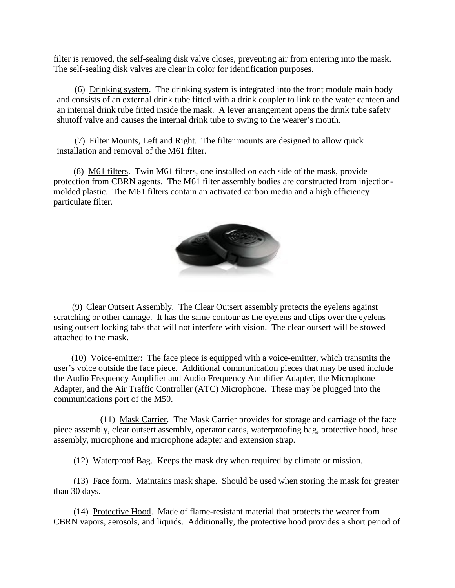filter is removed, the self-sealing disk valve closes, preventing air from entering into the mask. The self-sealing disk valves are clear in color for identification purposes.

 (6) Drinking system. The drinking system is integrated into the front module main body and consists of an external drink tube fitted with a drink coupler to link to the water canteen and an internal drink tube fitted inside the mask. A lever arrangement opens the drink tube safety shutoff valve and causes the internal drink tube to swing to the wearer's mouth.

 (7) Filter Mounts, Left and Right. The filter mounts are designed to allow quick installation and removal of the M61 filter.

 (8) M61 filters. Twin M61 filters, one installed on each side of the mask, provide protection from CBRN agents. The M61 filter assembly bodies are constructed from injectionmolded plastic. The M61 filters contain an activated carbon media and a high efficiency particulate filter.



 (9) Clear Outsert Assembly. The Clear Outsert assembly protects the eyelens against scratching or other damage. It has the same contour as the eyelens and clips over the eyelens using outsert locking tabs that will not interfere with vision. The clear outsert will be stowed attached to the mask.

 (10) Voice-emitter: The face piece is equipped with a voice-emitter, which transmits the user's voice outside the face piece. Additional communication pieces that may be used include the Audio Frequency Amplifier and Audio Frequency Amplifier Adapter, the Microphone Adapter, and the Air Traffic Controller (ATC) Microphone. These may be plugged into the communications port of the M50.

(11) Mask Carrier. The Mask Carrier provides for storage and carriage of the face piece assembly, clear outsert assembly, operator cards, waterproofing bag, protective hood, hose assembly, microphone and microphone adapter and extension strap.

(12) Waterproof Bag. Keeps the mask dry when required by climate or mission.

 (13) Face form. Maintains mask shape. Should be used when storing the mask for greater than 30 days.

 (14) Protective Hood. Made of flame-resistant material that protects the wearer from CBRN vapors, aerosols, and liquids. Additionally, the protective hood provides a short period of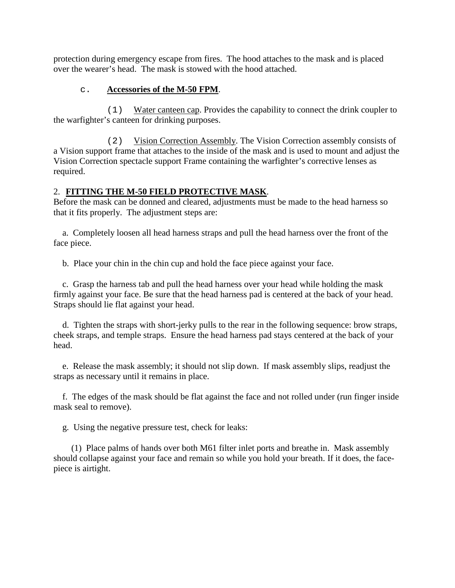protection during emergency escape from fires. The hood attaches to the mask and is placed over the wearer's head. The mask is stowed with the hood attached.

### c. **Accessories of the M-50 FPM**.

(1) Water canteen cap. Provides the capability to connect the drink coupler to the warfighter's canteen for drinking purposes.

(2) Vision Correction Assembly. The Vision Correction assembly consists of a Vision support frame that attaches to the inside of the mask and is used to mount and adjust the Vision Correction spectacle support Frame containing the warfighter's corrective lenses as required.

## 2. **FITTING THE M-50 FIELD PROTECTIVE MASK**.

Before the mask can be donned and cleared, adjustments must be made to the head harness so that it fits properly. The adjustment steps are:

 a. Completely loosen all head harness straps and pull the head harness over the front of the face piece.

b. Place your chin in the chin cup and hold the face piece against your face.

 c. Grasp the harness tab and pull the head harness over your head while holding the mask firmly against your face. Be sure that the head harness pad is centered at the back of your head. Straps should lie flat against your head.

 d. Tighten the straps with short-jerky pulls to the rear in the following sequence: brow straps, cheek straps, and temple straps. Ensure the head harness pad stays centered at the back of your head.

 e. Release the mask assembly; it should not slip down. If mask assembly slips, readjust the straps as necessary until it remains in place.

 f. The edges of the mask should be flat against the face and not rolled under (run finger inside mask seal to remove).

g. Using the negative pressure test, check for leaks:

 (1) Place palms of hands over both M61 filter inlet ports and breathe in. Mask assembly should collapse against your face and remain so while you hold your breath. If it does, the facepiece is airtight.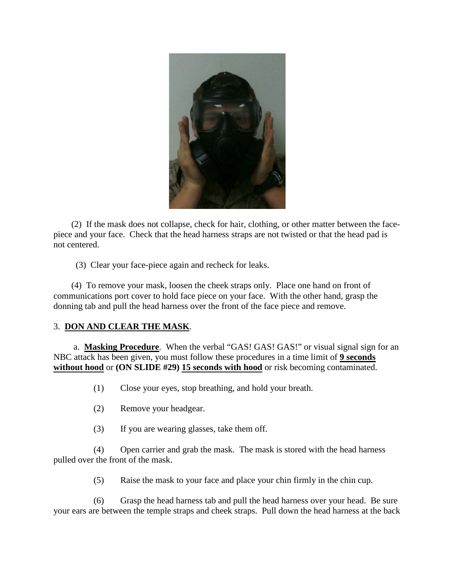

 (2) If the mask does not collapse, check for hair, clothing, or other matter between the facepiece and your face. Check that the head harness straps are not twisted or that the head pad is not centered.

(3) Clear your face-piece again and recheck for leaks.

 (4) To remove your mask, loosen the cheek straps only. Place one hand on front of communications port cover to hold face piece on your face. With the other hand, grasp the donning tab and pull the head harness over the front of the face piece and remove.

#### 3. **DON AND CLEAR THE MASK**.

a. **Masking Procedure**. When the verbal "GAS! GAS! GAS!" or visual signal sign for an NBC attack has been given, you must follow these procedures in a time limit of **9 seconds without hood** or **(ON SLIDE #29) 15 seconds with hood** or risk becoming contaminated.

(1) Close your eyes, stop breathing, and hold your breath.

- (2) Remove your headgear.
- (3) If you are wearing glasses, take them off.

(4) Open carrier and grab the mask. The mask is stored with the head harness pulled over the front of the mask.

(5) Raise the mask to your face and place your chin firmly in the chin cup.

(6) Grasp the head harness tab and pull the head harness over your head. Be sure your ears are between the temple straps and cheek straps. Pull down the head harness at the back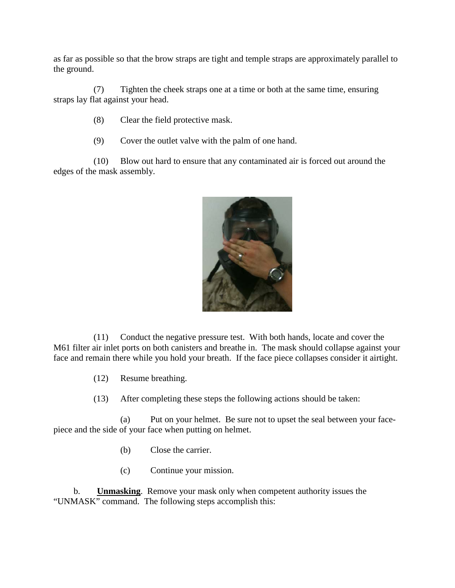as far as possible so that the brow straps are tight and temple straps are approximately parallel to the ground.

(7) Tighten the cheek straps one at a time or both at the same time, ensuring straps lay flat against your head.

- (8) Clear the field protective mask.
- (9) Cover the outlet valve with the palm of one hand.

(10) Blow out hard to ensure that any contaminated air is forced out around the edges of the mask assembly.



(11) Conduct the negative pressure test. With both hands, locate and cover the M61 filter air inlet ports on both canisters and breathe in. The mask should collapse against your face and remain there while you hold your breath. If the face piece collapses consider it airtight.

(12) Resume breathing.

(13) After completing these steps the following actions should be taken:

(a) Put on your helmet. Be sure not to upset the seal between your facepiece and the side of your face when putting on helmet.

- (b) Close the carrier.
- (c) Continue your mission.

b. **Unmasking**. Remove your mask only when competent authority issues the "UNMASK" command. The following steps accomplish this: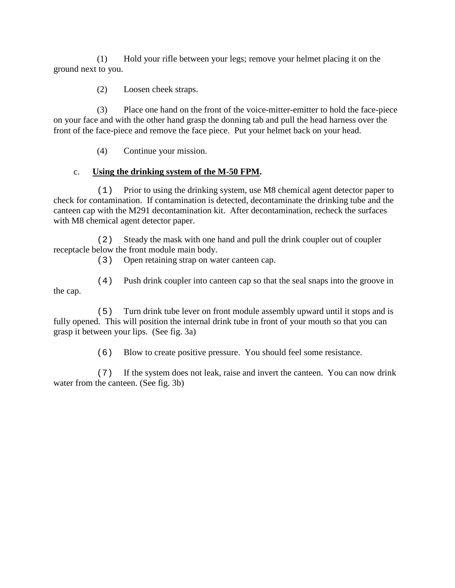(1) Hold your rifle between your legs; remove your helmet placing it on the ground next to you.

(2) Loosen cheek straps.

(3) Place one hand on the front of the voice-mitter-emitter to hold the face-piece on your face and with the other hand grasp the donning tab and pull the head harness over the front of the face-piece and remove the face piece. Put your helmet back on your head.

(4) Continue your mission.

## c. **Using the drinking system of the M-50 FPM.**

(1) Prior to using the drinking system, use M8 chemical agent detector paper to check for contamination. If contamination is detected, decontaminate the drinking tube and the canteen cap with the M291 decontamination kit. After decontamination, recheck the surfaces with M8 chemical agent detector paper.

(2) Steady the mask with one hand and pull the drink coupler out of coupler receptacle below the front module main body.

(3) Open retaining strap on water canteen cap.

(4) Push drink coupler into canteen cap so that the seal snaps into the groove in the cap.

(5) Turn drink tube lever on front module assembly upward until it stops and is fully opened. This will position the internal drink tube in front of your mouth so that you can grasp it between your lips. (See fig. 3a)

(6) Blow to create positive pressure. You should feel some resistance.

(7) If the system does not leak, raise and invert the canteen. You can now drink water from the canteen. (See fig. 3b)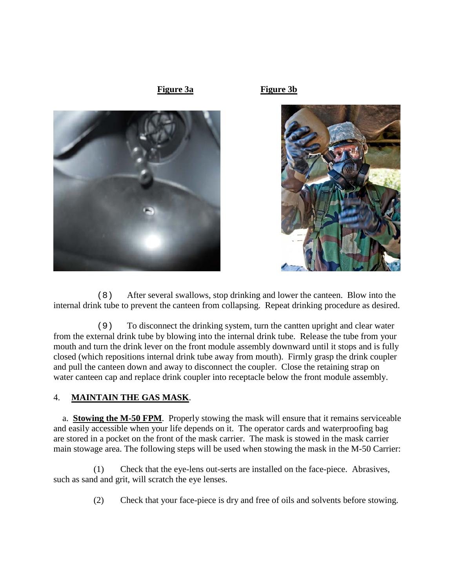

(8) After several swallows, stop drinking and lower the canteen. Blow into the internal drink tube to prevent the canteen from collapsing. Repeat drinking procedure as desired.

(9) To disconnect the drinking system, turn the cantten upright and clear water from the external drink tube by blowing into the internal drink tube. Release the tube from your mouth and turn the drink lever on the front module assembly downward until it stops and is fully closed (which repositions internal drink tube away from mouth). Firmly grasp the drink coupler and pull the canteen down and away to disconnect the coupler. Close the retaining strap on water canteen cap and replace drink coupler into receptacle below the front module assembly.

#### 4. **MAINTAIN THE GAS MASK**.

 a. **Stowing the M-50 FPM**. Properly stowing the mask will ensure that it remains serviceable and easily accessible when your life depends on it. The operator cards and waterproofing bag are stored in a pocket on the front of the mask carrier. The mask is stowed in the mask carrier main stowage area. The following steps will be used when stowing the mask in the M-50 Carrier:

(1) Check that the eye-lens out-serts are installed on the face-piece. Abrasives, such as sand and grit, will scratch the eye lenses.

(2) Check that your face-piece is dry and free of oils and solvents before stowing.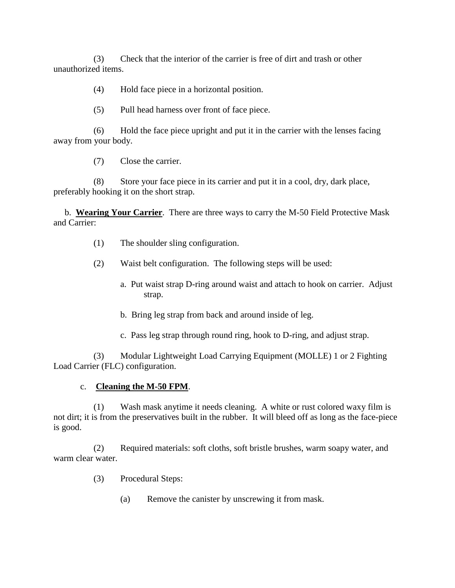(3) Check that the interior of the carrier is free of dirt and trash or other unauthorized items.

(4) Hold face piece in a horizontal position.

(5) Pull head harness over front of face piece.

(6) Hold the face piece upright and put it in the carrier with the lenses facing away from your body.

(7) Close the carrier.

(8) Store your face piece in its carrier and put it in a cool, dry, dark place, preferably hooking it on the short strap.

 b. **Wearing Your Carrier**. There are three ways to carry the M-50 Field Protective Mask and Carrier:

- (1) The shoulder sling configuration.
- (2) Waist belt configuration. The following steps will be used:
	- a. Put waist strap D-ring around waist and attach to hook on carrier. Adjust strap.
	- b. Bring leg strap from back and around inside of leg.
	- c. Pass leg strap through round ring, hook to D-ring, and adjust strap.

(3) Modular Lightweight Load Carrying Equipment (MOLLE) 1 or 2 Fighting Load Carrier (FLC) configuration.

#### c. **Cleaning the M-50 FPM**.

(1) Wash mask anytime it needs cleaning. A white or rust colored waxy film is not dirt; it is from the preservatives built in the rubber. It will bleed off as long as the face-piece is good.

(2) Required materials: soft cloths, soft bristle brushes, warm soapy water, and warm clear water.

- (3) Procedural Steps:
	- (a) Remove the canister by unscrewing it from mask.